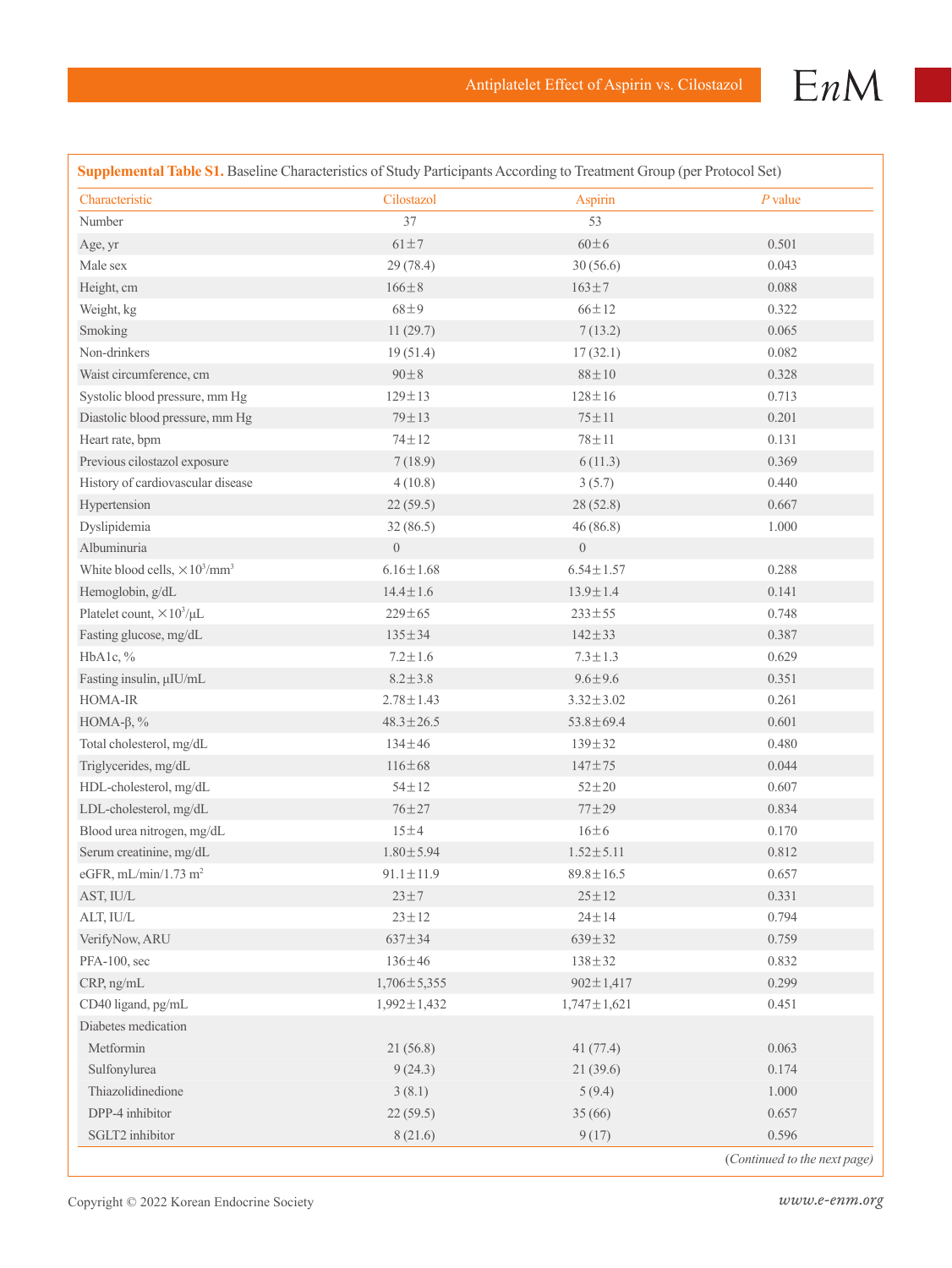

| Supplemental Table S1. Baseline Characteristics of Study Participants According to Treatment Group (per Protocol Set) |                   |                   |           |  |
|-----------------------------------------------------------------------------------------------------------------------|-------------------|-------------------|-----------|--|
| Characteristic                                                                                                        | Cilostazol        | Aspirin           | $P$ value |  |
| Number                                                                                                                | 37                | 53                |           |  |
| Age, yr                                                                                                               | $61 \pm 7$        | $60\pm6$          | 0.501     |  |
| Male sex                                                                                                              | 29 (78.4)         | 30(56.6)          | 0.043     |  |
| Height, cm                                                                                                            | $166 \pm 8$       | $163 \pm 7$       | 0.088     |  |
| Weight, kg                                                                                                            | $68\pm9$          | $66 \pm 12$       | 0.322     |  |
| Smoking                                                                                                               | 11(29.7)          | 7(13.2)           | 0.065     |  |
| Non-drinkers                                                                                                          | 19(51.4)          | 17(32.1)          | 0.082     |  |
| Waist circumference, cm                                                                                               | $90 \pm 8$        | $88\pm10$         | 0.328     |  |
| Systolic blood pressure, mm Hg                                                                                        | $129 \pm 13$      | $128 \pm 16$      | 0.713     |  |
| Diastolic blood pressure, mm Hg                                                                                       | $79 \pm 13$       | $75 \pm 11$       | 0.201     |  |
| Heart rate, bpm                                                                                                       | $74 \pm 12$       | $78 \pm 11$       | 0.131     |  |
| Previous cilostazol exposure                                                                                          | 7(18.9)           | 6(11.3)           | 0.369     |  |
| History of cardiovascular disease                                                                                     | 4(10.8)           | 3(5.7)            | 0.440     |  |
| Hypertension                                                                                                          | 22(59.5)          | 28 (52.8)         | 0.667     |  |
| Dyslipidemia                                                                                                          | 32(86.5)          | 46(86.8)          | 1.000     |  |
| Albuminuria                                                                                                           | $\boldsymbol{0}$  | $\boldsymbol{0}$  |           |  |
| White blood cells, $\times 10^3/\text{mm}^3$                                                                          | $6.16 \pm 1.68$   | $6.54 \pm 1.57$   | 0.288     |  |
| Hemoglobin, g/dL                                                                                                      | $14.4 \pm 1.6$    | $13.9 \pm 1.4$    | 0.141     |  |
| Platelet count, $\times 10^3/\mu L$                                                                                   | $229 \pm 65$      | $233 \pm 55$      | 0.748     |  |
| Fasting glucose, mg/dL                                                                                                | $135 \pm 34$      | $142 \pm 33$      | 0.387     |  |
| HbA1c, %                                                                                                              | $7.2 \pm 1.6$     | $7.3 \pm 1.3$     | 0.629     |  |
| Fasting insulin, µIU/mL                                                                                               | $8.2 \pm 3.8$     | $9.6 \pm 9.6$     | 0.351     |  |
| HOMA-IR                                                                                                               | $2.78 \pm 1.43$   | $3.32 \pm 3.02$   | 0.261     |  |
| HOMA- $\beta$ , %                                                                                                     | $48.3 \pm 26.5$   | $53.8 \pm 69.4$   | 0.601     |  |
| Total cholesterol, mg/dL                                                                                              | $134 \pm 46$      | $139 \pm 32$      | 0.480     |  |
| Triglycerides, mg/dL                                                                                                  | $116 \pm 68$      | $147 + 75$        | 0.044     |  |
| HDL-cholesterol, mg/dL                                                                                                | $54 \pm 12$       | $52 + 20$         | 0.607     |  |
| LDL-cholesterol, mg/dL                                                                                                | $76 + 27$         | $77 + 29$         | 0.834     |  |
| Blood urea nitrogen, mg/dL                                                                                            | 15±4              | 16±6              | 0.170     |  |
| Serum creatinine, mg/dL                                                                                               | $1.80 \pm 5.94$   | $1.52 \pm 5.11$   | 0.812     |  |
| eGFR, mL/min/1.73 m <sup>2</sup>                                                                                      | $91.1 \pm 11.9$   | $89.8 \pm 16.5$   | 0.657     |  |
| AST, IU/L                                                                                                             | $23 \pm 7$        | $25 + 12$         | 0.331     |  |
| ALT, IU/L                                                                                                             | $23 \pm 12$       | $24 \pm 14$       | 0.794     |  |
| VerifyNow, ARU                                                                                                        | $637 + 34$        | $639 \pm 32$      | 0.759     |  |
| PFA-100, sec                                                                                                          | 136±46            | $138 + 32$        | 0.832     |  |
| CRP, ng/mL                                                                                                            | $1,706 \pm 5,355$ | $902 \pm 1,417$   | 0.299     |  |
| CD40 ligand, pg/mL                                                                                                    | $1,992 \pm 1,432$ | $1,747 \pm 1,621$ | 0.451     |  |
| Diabetes medication                                                                                                   |                   |                   |           |  |
| Metformin                                                                                                             | 21(56.8)          | 41(77.4)          | 0.063     |  |
| Sulfonylurea                                                                                                          | 9(24.3)           | 21(39.6)          | 0.174     |  |
| Thiazolidinedione                                                                                                     | 3(8.1)            | 5(9.4)            | 1.000     |  |
| DPP-4 inhibitor                                                                                                       | 22(59.5)          | 35(66)            | 0.657     |  |
| SGLT2 inhibitor                                                                                                       | 8(21.6)           | 9(17)             | 0.596     |  |

Copyright © 2022 Korean Endocrine Society *www.e-enm.org*